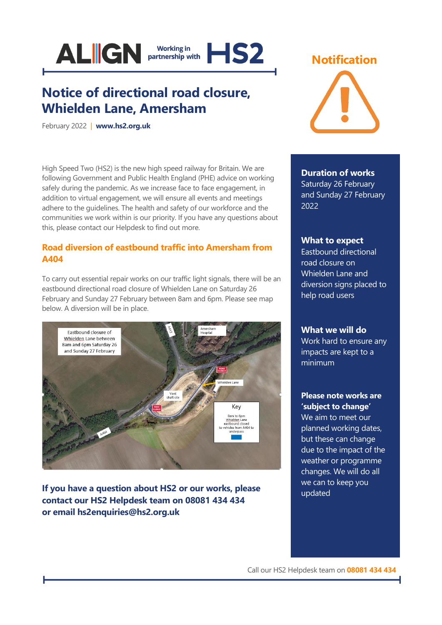

# **Notice of directional road closure, Whielden Lane, Amersham**

February 2022 | **[www.hs2.org.uk](http://www.hs2.org.uk/)**

High Speed Two (HS2) is the new high speed railway for Britain. We are following Government and Public Health England (PHE) advice on working safely during the pandemic. As we increase face to face engagement, in addition to virtual engagement, we will ensure all events and meetings adhere to the guidelines. The health and safety of our workforce and the communities we work within is our priority. If you have any questions about this, please contact our Helpdesk to find out more.

# **Road diversion of eastbound traffic into Amersham from A404**

To carry out essential repair works on our traffic light signals, there will be an eastbound directional road closure of Whielden Lane on Saturday 26 February and Sunday 27 February between 8am and 6pm. Please see map below. A diversion will be in place.



**If you have a question about HS2 or our works, please contact our HS2 Helpdesk team on 08081 434 434 or email hs2enquiries@hs2.org.uk**

# **Notification**



### **Duration of works**

Saturday 26 February and Sunday 27 February 2022

### **What to expect**

Eastbound directional road closure on Whielden Lane and diversion signs placed to help road users

### **What we will do**

Work hard to ensure any impacts are kept to a minimum

### **Please note works are 'subject to change'**

We aim to meet our planned working dates, but these can change due to the impact of the weather or programme changes. We will do all we can to keep you updated